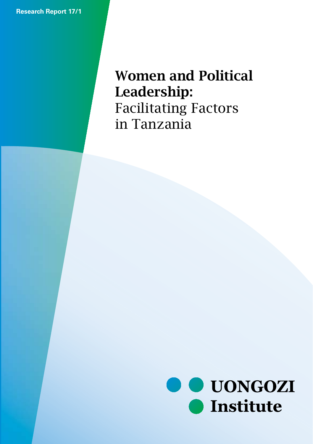**Research Report 17/1**

# WOMEN and Political Leaderships Facilitating Factors in Tanzania Women and Political Leadership:

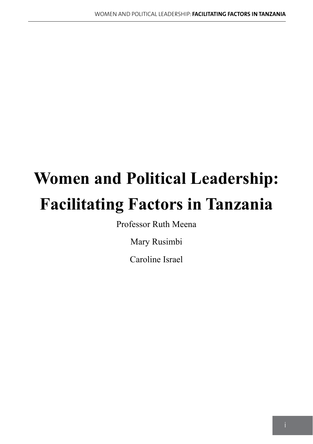# **Women and Political Leadership: Facilitating Factors in Tanzania**

Professor Ruth Meena

Mary Rusimbi

Caroline Israel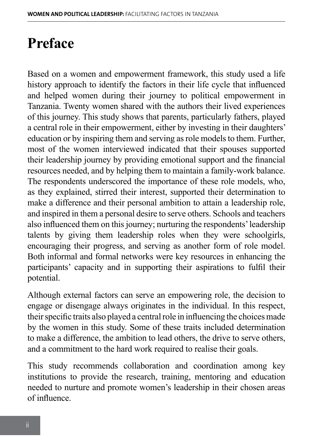# **Preface**

Based on a women and empowerment framework, this study used a life history approach to identify the factors in their life cycle that influenced and helped women during their journey to political empowerment in Tanzania. Twenty women shared with the authors their lived experiences of this journey. This study shows that parents, particularly fathers, played a central role in their empowerment, either by investing in their daughters' education or by inspiring them and serving as role models to them. Further, most of the women interviewed indicated that their spouses supported their leadership journey by providing emotional support and the financial resources needed, and by helping them to maintain a family-work balance. The respondents underscored the importance of these role models, who, as they explained, stirred their interest, supported their determination to make a difference and their personal ambition to attain a leadership role, and inspired in them a personal desire to serve others. Schools and teachers also influenced them on this journey; nurturing the respondents' leadership talents by giving them leadership roles when they were schoolgirls, encouraging their progress, and serving as another form of role model. Both informal and formal networks were key resources in enhancing the participants' capacity and in supporting their aspirations to fulfil their potential.

Although external factors can serve an empowering role, the decision to engage or disengage always originates in the individual. In this respect, their specific traits also played a central role in influencing the choices made by the women in this study. Some of these traits included determination to make a difference, the ambition to lead others, the drive to serve others, and a commitment to the hard work required to realise their goals.

This study recommends collaboration and coordination among key institutions to provide the research, training, mentoring and education needed to nurture and promote women's leadership in their chosen areas of influence.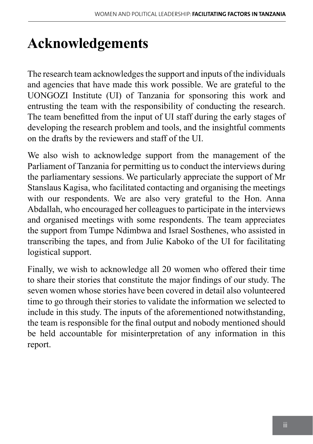# **Acknowledgements**

The research team acknowledges the support and inputs of the individuals and agencies that have made this work possible. We are grateful to the UONGOZI Institute (UI) of Tanzania for sponsoring this work and entrusting the team with the responsibility of conducting the research. The team benefitted from the input of UI staff during the early stages of developing the research problem and tools, and the insightful comments on the drafts by the reviewers and staff of the UI.

We also wish to acknowledge support from the management of the Parliament of Tanzania for permitting us to conduct the interviews during the parliamentary sessions. We particularly appreciate the support of Mr Stanslaus Kagisa, who facilitated contacting and organising the meetings with our respondents. We are also very grateful to the Hon. Anna Abdallah, who encouraged her colleagues to participate in the interviews and organised meetings with some respondents. The team appreciates the support from Tumpe Ndimbwa and Israel Sosthenes, who assisted in transcribing the tapes, and from Julie Kaboko of the UI for facilitating logistical support.

Finally, we wish to acknowledge all 20 women who offered their time to share their stories that constitute the major findings of our study. The seven women whose stories have been covered in detail also volunteered time to go through their stories to validate the information we selected to include in this study. The inputs of the aforementioned notwithstanding, the team is responsible for the final output and nobody mentioned should be held accountable for misinterpretation of any information in this report.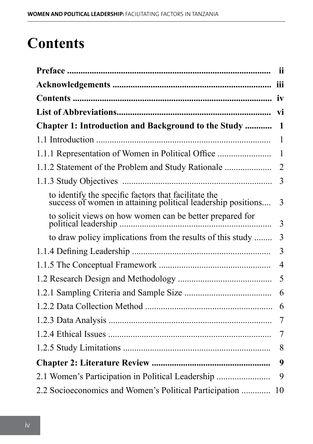# **Contents**

|                                                                                                                      | - ii           |
|----------------------------------------------------------------------------------------------------------------------|----------------|
|                                                                                                                      |                |
|                                                                                                                      |                |
|                                                                                                                      |                |
| <b>Chapter 1: Introduction and Background to the Study </b>                                                          | $\mathbf{1}$   |
|                                                                                                                      | 1              |
|                                                                                                                      |                |
| 1.1.2 Statement of the Problem and Study Rationale                                                                   | $\overline{2}$ |
|                                                                                                                      | 3              |
| to identify the specific factors that facilitate the<br>success of women in attaining political leadership positions | 3              |
| to solicit views on how women can be better prepared for                                                             | 3              |
| to draw policy implications from the results of this study                                                           | 3              |
|                                                                                                                      | 3              |
|                                                                                                                      | $\overline{4}$ |
|                                                                                                                      | 5              |
|                                                                                                                      | 6              |
|                                                                                                                      | 6              |
|                                                                                                                      | 7              |
|                                                                                                                      | 7              |
|                                                                                                                      | 8              |
|                                                                                                                      | 9              |
| 2.1 Women's Participation in Political Leadership                                                                    | 9              |
| 2.2 Socioeconomics and Women's Political Participation                                                               | 10             |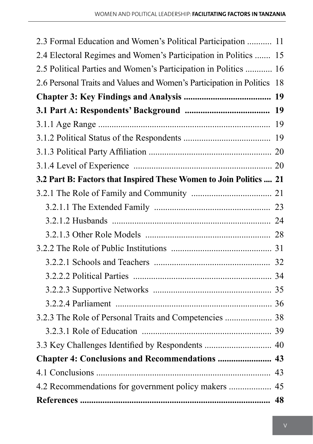| 2.3 Formal Education and Women's Political Participation  11            |  |
|-------------------------------------------------------------------------|--|
| 2.4 Electoral Regimes and Women's Participation in Politics  15         |  |
| 2.5 Political Parties and Women's Participation in Politics  16         |  |
| 2.6 Personal Traits and Values and Women's Participation in Politics 18 |  |
|                                                                         |  |
|                                                                         |  |
|                                                                         |  |
|                                                                         |  |
|                                                                         |  |
|                                                                         |  |
| 3.2 Part B: Factors that Inspired These Women to Join Politics  21      |  |
|                                                                         |  |
|                                                                         |  |
|                                                                         |  |
|                                                                         |  |
|                                                                         |  |
|                                                                         |  |
|                                                                         |  |
|                                                                         |  |
|                                                                         |  |
|                                                                         |  |
|                                                                         |  |
| 3.3 Key Challenges Identified by Respondents  40                        |  |
| Chapter 4: Conclusions and Recommendations  43                          |  |
|                                                                         |  |
|                                                                         |  |
|                                                                         |  |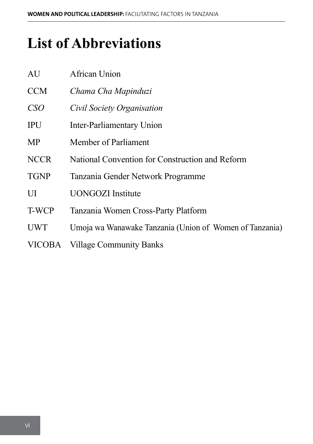# **List of Abbreviations**

| AU          | African Union                                           |
|-------------|---------------------------------------------------------|
| <b>CCM</b>  | Chama Cha Mapinduzi                                     |
| CSO         | Civil Society Organisation                              |
| <b>IPU</b>  | <b>Inter-Parliamentary Union</b>                        |
| MP          | Member of Parliament                                    |
| <b>NCCR</b> | National Convention for Construction and Reform         |
| <b>TGNP</b> | Tanzania Gender Network Programme                       |
| UI          | <b>UONGOZI</b> Institute                                |
| T-WCP       | Tanzania Women Cross-Party Platform                     |
| <b>UWT</b>  | Umoja wa Wanawake Tanzania (Union of Women of Tanzania) |
| VICOBA      | <b>Village Community Banks</b>                          |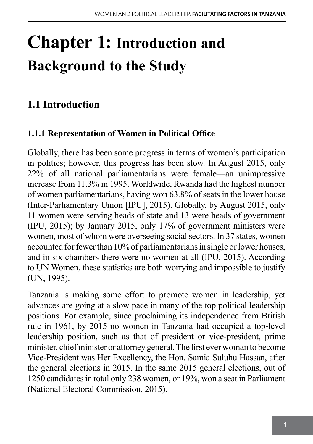# **Chapter 1: Introduction and Background to the Study**

# **1.1 Introduction**

### **1.1.1 Representation of Women in Political Office**

Globally, there has been some progress in terms of women's participation in politics; however, this progress has been slow. In August 2015, only 22% of all national parliamentarians were female—an unimpressive increase from 11.3% in 1995. Worldwide, Rwanda had the highest number of women parliamentarians, having won 63.8% of seats in the lower house (Inter-Parliamentary Union [IPU], 2015). Globally, by August 2015, only 11 women were serving heads of state and 13 were heads of government (IPU, 2015); by January 2015, only 17% of government ministers were women, most of whom were overseeing social sectors. In 37 states, women accounted for fewer than 10% of parliamentarians in single or lower houses, and in six chambers there were no women at all (IPU, 2015). According to UN Women, these statistics are both worrying and impossible to justify (UN, 1995).

Tanzania is making some effort to promote women in leadership, yet advances are going at a slow pace in many of the top political leadership positions. For example, since proclaiming its independence from British rule in 1961, by 2015 no women in Tanzania had occupied a top-level leadership position, such as that of president or vice-president, prime minister, chief minister or attorney general. The first ever woman to become Vice-President was Her Excellency, the Hon. Samia Suluhu Hassan, after the general elections in 2015. In the same 2015 general elections, out of 1250 candidates in total only 238 women, or 19%, won a seat in Parliament (National Electoral Commission, 2015).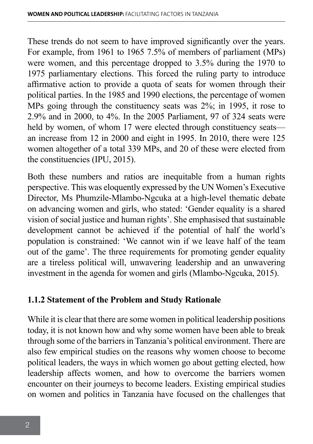These trends do not seem to have improved significantly over the years. For example, from 1961 to 1965 7.5% of members of parliament (MPs) were women, and this percentage dropped to 3.5% during the 1970 to 1975 parliamentary elections. This forced the ruling party to introduce affirmative action to provide a quota of seats for women through their political parties. In the 1985 and 1990 elections, the percentage of women MPs going through the constituency seats was 2%; in 1995, it rose to 2.9% and in 2000, to 4%. In the 2005 Parliament, 97 of 324 seats were held by women, of whom 17 were elected through constituency seats an increase from 12 in 2000 and eight in 1995. In 2010, there were 125 women altogether of a total 339 MPs, and 20 of these were elected from the constituencies (IPU, 2015).

Both these numbers and ratios are inequitable from a human rights perspective. This was eloquently expressed by the UN Women's Executive Director, Ms Phumzile-Mlambo-Ngcuka at a high-level thematic debate on advancing women and girls, who stated: 'Gender equality is a shared vision of social justice and human rights'. She emphasised that sustainable development cannot be achieved if the potential of half the world's population is constrained: 'We cannot win if we leave half of the team out of the game'. The three requirements for promoting gender equality are a tireless political will, unwavering leadership and an unwavering investment in the agenda for women and girls (Mlambo-Ngcuka, 2015).

### **1.1.2 Statement of the Problem and Study Rationale**

While it is clear that there are some women in political leadership positions today, it is not known how and why some women have been able to break through some of the barriers in Tanzania's political environment. There are also few empirical studies on the reasons why women choose to become political leaders, the ways in which women go about getting elected, how leadership affects women, and how to overcome the barriers women encounter on their journeys to become leaders. Existing empirical studies on women and politics in Tanzania have focused on the challenges that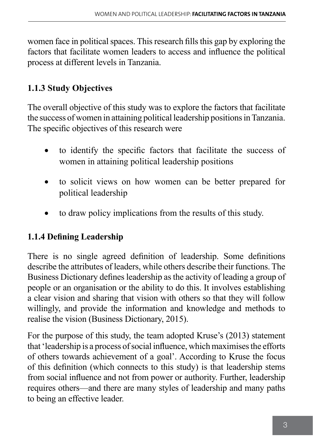women face in political spaces. This research fills this gap by exploring the factors that facilitate women leaders to access and influence the political process at different levels in Tanzania.

### **1.1.3 Study Objectives**

The overall objective of this study was to explore the factors that facilitate the success of women in attaining political leadership positions in Tanzania. The specific objectives of this research were

- to identify the specific factors that facilitate the success of women in attaining political leadership positions
- to solicit views on how women can be better prepared for political leadership
- to draw policy implications from the results of this study.

### **1.1.4 Defining Leadership**

There is no single agreed definition of leadership. Some definitions describe the attributes of leaders, while others describe their functions. The Business Dictionary defines leadership as the activity of leading a group of people or an organisation or the ability to do this. It involves establishing a clear vision and sharing that vision with others so that they will follow willingly, and provide the information and knowledge and methods to realise the vision (Business Dictionary, 2015).

For the purpose of this study, the team adopted Kruse's (2013) statement that 'leadership is a process of social influence, which maximises the efforts of others towards achievement of a goal'. According to Kruse the focus of this definition (which connects to this study) is that leadership stems from social influence and not from power or authority. Further, leadership requires others—and there are many styles of leadership and many paths to being an effective leader.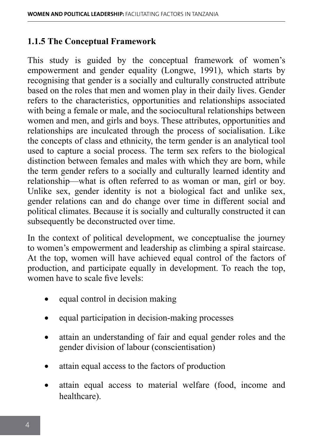#### **1.1.5 The Conceptual Framework**

This study is guided by the conceptual framework of women's empowerment and gender equality (Longwe, 1991), which starts by recognising that gender is a socially and culturally constructed attribute based on the roles that men and women play in their daily lives. Gender refers to the characteristics, opportunities and relationships associated with being a female or male, and the sociocultural relationships between women and men, and girls and boys. These attributes, opportunities and relationships are inculcated through the process of socialisation. Like the concepts of class and ethnicity, the term gender is an analytical tool used to capture a social process. The term sex refers to the biological distinction between females and males with which they are born, while the term gender refers to a socially and culturally learned identity and relationship—what is often referred to as woman or man, girl or boy. Unlike sex, gender identity is not a biological fact and unlike sex, gender relations can and do change over time in different social and political climates. Because it is socially and culturally constructed it can subsequently be deconstructed over time.

In the context of political development, we conceptualise the journey to women's empowerment and leadership as climbing a spiral staircase. At the top, women will have achieved equal control of the factors of production, and participate equally in development. To reach the top, women have to scale five levels:

- equal control in decision making
- equal participation in decision-making processes
- attain an understanding of fair and equal gender roles and the gender division of labour (conscientisation)
- attain equal access to the factors of production
- attain equal access to material welfare (food, income and healthcare).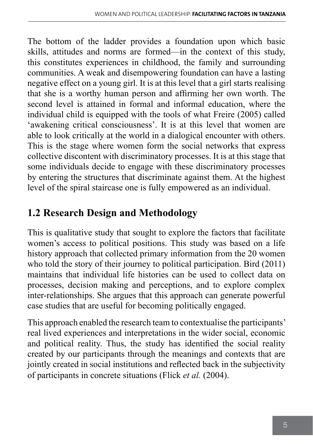The bottom of the ladder provides a foundation upon which basic skills, attitudes and norms are formed—in the context of this study, this constitutes experiences in childhood, the family and surrounding communities. A weak and disempowering foundation can have a lasting negative effect on a young girl. It is at this level that a girl starts realising that she is a worthy human person and affirming her own worth. The second level is attained in formal and informal education, where the individual child is equipped with the tools of what Freire (2005) called 'awakening critical consciousness'. It is at this level that women are able to look critically at the world in a dialogical encounter with others. This is the stage where women form the social networks that express collective discontent with discriminatory processes. It is at this stage that some individuals decide to engage with these discriminatory processes by entering the structures that discriminate against them. At the highest level of the spiral staircase one is fully empowered as an individual.

# **1.2 Research Design and Methodology**

This is qualitative study that sought to explore the factors that facilitate women's access to political positions. This study was based on a life history approach that collected primary information from the 20 women who told the story of their journey to political participation. Bird (2011) maintains that individual life histories can be used to collect data on processes, decision making and perceptions, and to explore complex inter-relationships. She argues that this approach can generate powerful case studies that are useful for becoming politically engaged.

This approach enabled the research team to contextualise the participants' real lived experiences and interpretations in the wider social, economic and political reality. Thus, the study has identified the social reality created by our participants through the meanings and contexts that are jointly created in social institutions and reflected back in the subjectivity of participants in concrete situations (Flick *et al.* (2004).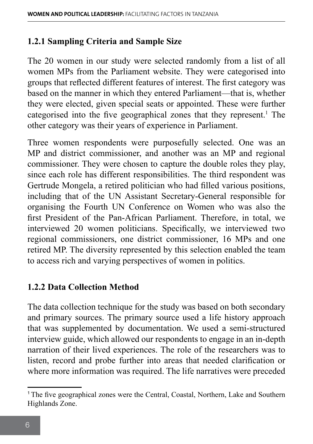#### **1.2.1 Sampling Criteria and Sample Size**

The 20 women in our study were selected randomly from a list of all women MPs from the Parliament website. They were categorised into groups that reflected different features of interest. The first category was based on the manner in which they entered Parliament—that is, whether they were elected, given special seats or appointed. These were further categorised into the five geographical zones that they represent.<sup>1</sup> The other category was their years of experience in Parliament.

Three women respondents were purposefully selected. One was an MP and district commissioner, and another was an MP and regional commissioner. They were chosen to capture the double roles they play, since each role has different responsibilities. The third respondent was Gertrude Mongela, a retired politician who had filled various positions, including that of the UN Assistant Secretary-General responsible for organising the Fourth UN Conference on Women who was also the first President of the Pan-African Parliament. Therefore, in total, we interviewed 20 women politicians. Specifically, we interviewed two regional commissioners, one district commissioner, 16 MPs and one retired MP. The diversity represented by this selection enabled the team to access rich and varying perspectives of women in politics.

### **1.2.2 Data Collection Method**

The data collection technique for the study was based on both secondary and primary sources. The primary source used a life history approach that was supplemented by documentation. We used a semi-structured interview guide, which allowed our respondents to engage in an in-depth narration of their lived experiences. The role of the researchers was to listen, record and probe further into areas that needed clarification or where more information was required. The life narratives were preceded

<sup>&</sup>lt;sup>1</sup> The five geographical zones were the Central, Coastal, Northern, Lake and Southern Highlands Zone.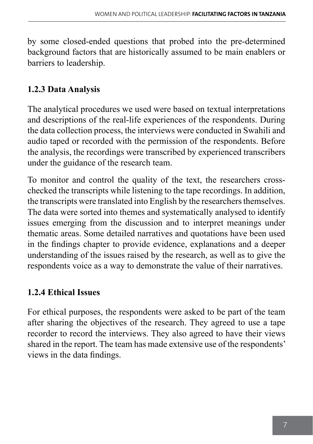by some closed-ended questions that probed into the pre-determined background factors that are historically assumed to be main enablers or barriers to leadership.

### **1.2.3 Data Analysis**

The analytical procedures we used were based on textual interpretations and descriptions of the real-life experiences of the respondents. During the data collection process, the interviews were conducted in Swahili and audio taped or recorded with the permission of the respondents. Before the analysis, the recordings were transcribed by experienced transcribers under the guidance of the research team.

To monitor and control the quality of the text, the researchers crosschecked the transcripts while listening to the tape recordings. In addition, the transcripts were translated into English by the researchers themselves. The data were sorted into themes and systematically analysed to identify issues emerging from the discussion and to interpret meanings under thematic areas. Some detailed narratives and quotations have been used in the findings chapter to provide evidence, explanations and a deeper understanding of the issues raised by the research, as well as to give the respondents voice as a way to demonstrate the value of their narratives.

## **1.2.4 Ethical Issues**

For ethical purposes, the respondents were asked to be part of the team after sharing the objectives of the research. They agreed to use a tape recorder to record the interviews. They also agreed to have their views shared in the report. The team has made extensive use of the respondents' views in the data findings.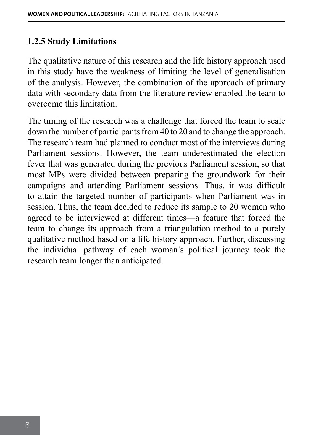### **1.2.5 Study Limitations**

The qualitative nature of this research and the life history approach used in this study have the weakness of limiting the level of generalisation of the analysis. However, the combination of the approach of primary data with secondary data from the literature review enabled the team to overcome this limitation.

The timing of the research was a challenge that forced the team to scale down the number of participants from 40 to 20 and to change the approach. The research team had planned to conduct most of the interviews during Parliament sessions. However, the team underestimated the election fever that was generated during the previous Parliament session, so that most MPs were divided between preparing the groundwork for their campaigns and attending Parliament sessions. Thus, it was difficult to attain the targeted number of participants when Parliament was in session. Thus, the team decided to reduce its sample to 20 women who agreed to be interviewed at different times—a feature that forced the team to change its approach from a triangulation method to a purely qualitative method based on a life history approach. Further, discussing the individual pathway of each woman's political journey took the research team longer than anticipated.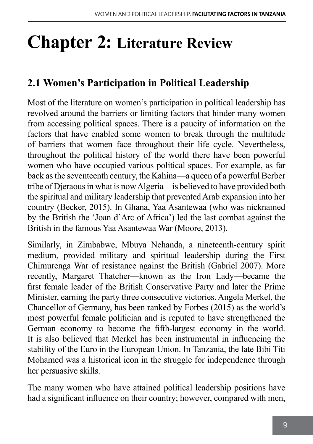# **Chapter 2: Literature Review**

# **2.1 Women's Participation in Political Leadership**

Most of the literature on women's participation in political leadership has revolved around the barriers or limiting factors that hinder many women from accessing political spaces. There is a paucity of information on the factors that have enabled some women to break through the multitude of barriers that women face throughout their life cycle. Nevertheless, throughout the political history of the world there have been powerful women who have occupied various political spaces. For example, as far back as the seventeenth century, the Kahina—a queen of a powerful Berber tribe of Djeraous in what is now Algeria—is believed to have provided both the spiritual and military leadership that prevented Arab expansion into her country (Becker, 2015). In Ghana, Yaa Asantewaa (who was nicknamed by the British the 'Joan d'Arc of Africa') led the last combat against the British in the famous Yaa Asantewaa War (Moore, 2013).

Similarly, in Zimbabwe, Mbuya Nehanda, a nineteenth-century spirit medium, provided military and spiritual leadership during the First Chimurenga War of resistance against the British (Gabriel 2007). More recently, Margaret Thatcher—known as the Iron Lady—became the first female leader of the British Conservative Party and later the Prime Minister, earning the party three consecutive victories. Angela Merkel, the Chancellor of Germany, has been ranked by Forbes (2015) as the world's most powerful female politician and is reputed to have strengthened the German economy to become the fifth-largest economy in the world. It is also believed that Merkel has been instrumental in influencing the stability of the Euro in the European Union. In Tanzania, the late Bibi Titi Mohamed was a historical icon in the struggle for independence through her persuasive skills.

The many women who have attained political leadership positions have had a significant influence on their country; however, compared with men,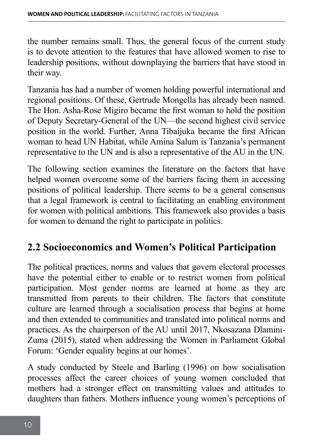the number remains small. Thus, the general focus of the current study is to devote attention to the features that have allowed women to rise to leadership positions, without downplaying the barriers that have stood in their way.

Tanzania has had a number of women holding powerful international and regional positions. Of these, Gertrude Mongella has already been named. The Hon. Asha-Rose Migiro became the first woman to hold the position of Deputy Secretary-General of the UN—the second highest civil service position in the world. Further, Anna Tibaijuka became the first African woman to head UN Habitat, while Amina Salum is Tanzania's permanent representative to the UN and is also a representative of the AU in the UN.

The following section examines the literature on the factors that have helped women overcome some of the barriers facing them in accessing positions of political leadership. There seems to be a general consensus that a legal framework is central to facilitating an enabling environment for women with political ambitions. This framework also provides a basis for women to demand the right to participate in politics.

## **2.2 Socioeconomics and Women's Political Participation**

The political practices, norms and values that govern electoral processes have the potential either to enable or to restrict women from political participation. Most gender norms are learned at home as they are transmitted from parents to their children. The factors that constitute culture are learned through a socialisation process that begins at home and then extended to communities and translated into political norms and practices. As the chairperson of the AU until 2017, Nkosazana Dlamini-Zuma (2015), stated when addressing the Women in Parliament Global Forum: 'Gender equality begins at our homes'.

A study conducted by Steele and Barling (1996) on how socialisation processes affect the career choices of young women concluded that mothers had a stronger effect on transmitting values and attitudes to daughters than fathers. Mothers influence young women's perceptions of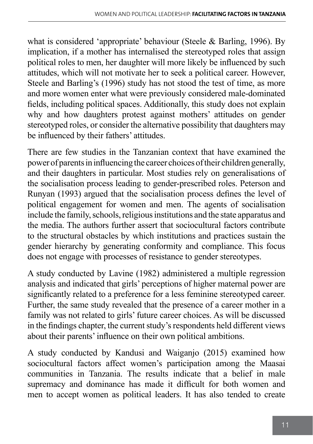what is considered 'appropriate' behaviour (Steele & Barling, 1996). By implication, if a mother has internalised the stereotyped roles that assign political roles to men, her daughter will more likely be influenced by such attitudes, which will not motivate her to seek a political career. However, Steele and Barling's (1996) study has not stood the test of time, as more and more women enter what were previously considered male-dominated fields, including political spaces. Additionally, this study does not explain why and how daughters protest against mothers' attitudes on gender stereotyped roles, or consider the alternative possibility that daughters may be influenced by their fathers' attitudes.

There are few studies in the Tanzanian context that have examined the power of parents in influencing the career choices of their children generally, and their daughters in particular. Most studies rely on generalisations of the socialisation process leading to gender-prescribed roles. Peterson and Runyan (1993) argued that the socialisation process defines the level of political engagement for women and men. The agents of socialisation include the family, schools, religious institutions and the state apparatus and the media. The authors further assert that sociocultural factors contribute to the structural obstacles by which institutions and practices sustain the gender hierarchy by generating conformity and compliance. This focus does not engage with processes of resistance to gender stereotypes.

A study conducted by Lavine (1982) administered a multiple regression analysis and indicated that girls' perceptions of higher maternal power are significantly related to a preference for a less feminine stereotyped career. Further, the same study revealed that the presence of a career mother in a family was not related to girls' future career choices. As will be discussed in the findings chapter, the current study's respondents held different views about their parents' influence on their own political ambitions.

A study conducted by Kandusi and Waiganjo (2015) examined how sociocultural factors affect women's participation among the Maasai communities in Tanzania. The results indicate that a belief in male supremacy and dominance has made it difficult for both women and men to accept women as political leaders. It has also tended to create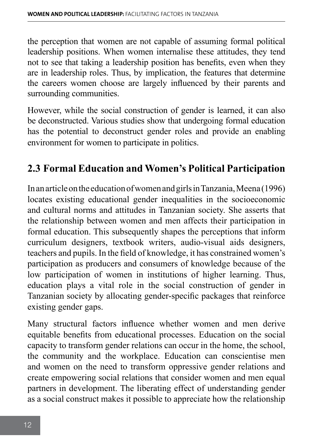the perception that women are not capable of assuming formal political leadership positions. When women internalise these attitudes, they tend not to see that taking a leadership position has benefits, even when they are in leadership roles. Thus, by implication, the features that determine the careers women choose are largely influenced by their parents and surrounding communities.

However, while the social construction of gender is learned, it can also be deconstructed. Various studies show that undergoing formal education has the potential to deconstruct gender roles and provide an enabling environment for women to participate in politics.

## **2.3 Formal Education and Women's Political Participation**

In an article on the education of women and girls in Tanzania, Meena (1996) locates existing educational gender inequalities in the socioeconomic and cultural norms and attitudes in Tanzanian society. She asserts that the relationship between women and men affects their participation in formal education. This subsequently shapes the perceptions that inform curriculum designers, textbook writers, audio-visual aids designers, teachers and pupils. In the field of knowledge, it has constrained women's participation as producers and consumers of knowledge because of the low participation of women in institutions of higher learning. Thus, education plays a vital role in the social construction of gender in Tanzanian society by allocating gender-specific packages that reinforce existing gender gaps.

Many structural factors influence whether women and men derive equitable benefits from educational processes. Education on the social capacity to transform gender relations can occur in the home, the school, the community and the workplace. Education can conscientise men and women on the need to transform oppressive gender relations and create empowering social relations that consider women and men equal partners in development. The liberating effect of understanding gender as a social construct makes it possible to appreciate how the relationship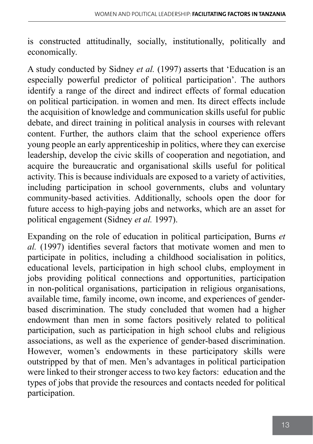is constructed attitudinally, socially, institutionally, politically and economically.

A study conducted by Sidney *et al.* (1997) asserts that 'Education is an especially powerful predictor of political participation'. The authors identify a range of the direct and indirect effects of formal education on political participation. in women and men. Its direct effects include the acquisition of knowledge and communication skills useful for public debate, and direct training in political analysis in courses with relevant content. Further, the authors claim that the school experience offers young people an early apprenticeship in politics, where they can exercise leadership, develop the civic skills of cooperation and negotiation, and acquire the bureaucratic and organisational skills useful for political activity. This is because individuals are exposed to a variety of activities, including participation in school governments, clubs and voluntary community-based activities. Additionally, schools open the door for future access to high-paying jobs and networks, which are an asset for political engagement (Sidney *et al.* 1997).

Expanding on the role of education in political participation, Burns *et al.* (1997) identifies several factors that motivate women and men to participate in politics, including a childhood socialisation in politics, educational levels, participation in high school clubs, employment in jobs providing political connections and opportunities, participation in non-political organisations, participation in religious organisations, available time, family income, own income, and experiences of genderbased discrimination. The study concluded that women had a higher endowment than men in some factors positively related to political participation, such as participation in high school clubs and religious associations, as well as the experience of gender-based discrimination. However, women's endowments in these participatory skills were outstripped by that of men. Men's advantages in political participation were linked to their stronger access to two key factors: education and the types of jobs that provide the resources and contacts needed for political participation.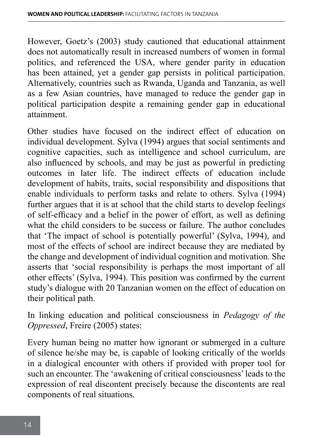However, Goetz's (2003) study cautioned that educational attainment does not automatically result in increased numbers of women in formal politics, and referenced the USA, where gender parity in education has been attained, yet a gender gap persists in political participation. Alternatively, countries such as Rwanda, Uganda and Tanzania, as well as a few Asian countries, have managed to reduce the gender gap in political participation despite a remaining gender gap in educational attainment.

Other studies have focused on the indirect effect of education on individual development. Sylva (1994) argues that social sentiments and cognitive capacities, such as intelligence and school curriculum, are also influenced by schools, and may be just as powerful in predicting outcomes in later life. The indirect effects of education include development of habits, traits, social responsibility and dispositions that enable individuals to perform tasks and relate to others. Sylva (1994) further argues that it is at school that the child starts to develop feelings of self-efficacy and a belief in the power of effort, as well as defining what the child considers to be success or failure. The author concludes that 'The impact of school is potentially powerful' (Sylva, 1994), and most of the effects of school are indirect because they are mediated by the change and development of individual cognition and motivation. She asserts that 'social responsibility is perhaps the most important of all other effects' (Sylva, 1994). This position was confirmed by the current study's dialogue with 20 Tanzanian women on the effect of education on their political path.

In linking education and political consciousness in *Pedagogy of the Oppressed*, Freire (2005) states:

Every human being no matter how ignorant or submerged in a culture of silence he/she may be, is capable of looking critically of the worlds in a dialogical encounter with others if provided with proper tool for such an encounter. The 'awakening of critical consciousness' leads to the expression of real discontent precisely because the discontents are real components of real situations.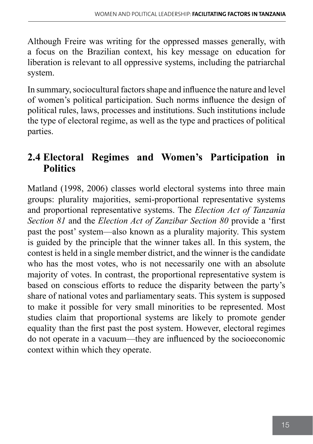Although Freire was writing for the oppressed masses generally, with a focus on the Brazilian context, his key message on education for liberation is relevant to all oppressive systems, including the patriarchal system.

In summary, sociocultural factors shape and influence the nature and level of women's political participation. Such norms influence the design of political rules, laws, processes and institutions. Such institutions include the type of electoral regime, as well as the type and practices of political parties.

# **2.4 Electoral Regimes and Women's Participation in Politics**

Matland (1998, 2006) classes world electoral systems into three main groups: plurality majorities, semi-proportional representative systems and proportional representative systems. The *Election Act of Tanzania Section 81* and the *Election Act of Zanzibar Section 80* provide a 'first past the post' system—also known as a plurality majority. This system is guided by the principle that the winner takes all. In this system, the contest is held in a single member district, and the winner is the candidate who has the most votes, who is not necessarily one with an absolute majority of votes. In contrast, the proportional representative system is based on conscious efforts to reduce the disparity between the party's share of national votes and parliamentary seats. This system is supposed to make it possible for very small minorities to be represented. Most studies claim that proportional systems are likely to promote gender equality than the first past the post system. However, electoral regimes do not operate in a vacuum—they are influenced by the socioeconomic context within which they operate.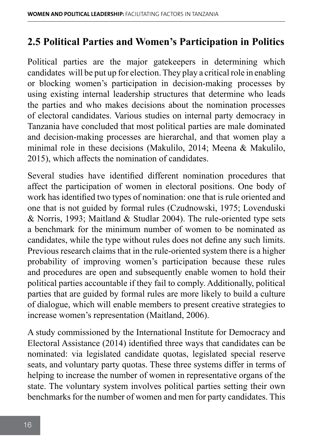## **2.5 Political Parties and Women's Participation in Politics**

Political parties are the major gatekeepers in determining which candidates will be put up for election. They play a critical role in enabling or blocking women's participation in decision-making processes by using existing internal leadership structures that determine who leads the parties and who makes decisions about the nomination processes of electoral candidates. Various studies on internal party democracy in Tanzania have concluded that most political parties are male dominated and decision-making processes are hierarchal, and that women play a minimal role in these decisions (Makulilo, 2014; Meena & Makulilo, 2015), which affects the nomination of candidates.

Several studies have identified different nomination procedures that affect the participation of women in electoral positions. One body of work has identified two types of nomination: one that is rule oriented and one that is not guided by formal rules (Czudnowski, 1975; Lovenduski & Norris, 1993; Maitland & Studlar 2004). The rule-oriented type sets a benchmark for the minimum number of women to be nominated as candidates, while the type without rules does not define any such limits. Previous research claims that in the rule-oriented system there is a higher probability of improving women's participation because these rules and procedures are open and subsequently enable women to hold their political parties accountable if they fail to comply. Additionally, political parties that are guided by formal rules are more likely to build a culture of dialogue, which will enable members to present creative strategies to increase women's representation (Maitland, 2006).

A study commissioned by the International Institute for Democracy and Electoral Assistance (2014) identified three ways that candidates can be nominated: via legislated candidate quotas, legislated special reserve seats, and voluntary party quotas. These three systems differ in terms of helping to increase the number of women in representative organs of the state. The voluntary system involves political parties setting their own benchmarks for the number of women and men for party candidates. This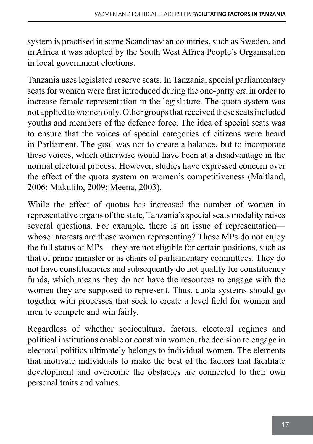system is practised in some Scandinavian countries, such as Sweden, and in Africa it was adopted by the South West Africa People's Organisation in local government elections.

Tanzania uses legislated reserve seats. In Tanzania, special parliamentary seats for women were first introduced during the one-party era in order to increase female representation in the legislature. The quota system was not applied to women only. Other groups that received these seats included youths and members of the defence force. The idea of special seats was to ensure that the voices of special categories of citizens were heard in Parliament. The goal was not to create a balance, but to incorporate these voices, which otherwise would have been at a disadvantage in the normal electoral process. However, studies have expressed concern over the effect of the quota system on women's competitiveness (Maitland, 2006; Makulilo, 2009; Meena, 2003).

While the effect of quotas has increased the number of women in representative organs of the state, Tanzania's special seats modality raises several questions. For example, there is an issue of representation whose interests are these women representing? These MPs do not enjoy the full status of MPs—they are not eligible for certain positions, such as that of prime minister or as chairs of parliamentary committees. They do not have constituencies and subsequently do not qualify for constituency funds, which means they do not have the resources to engage with the women they are supposed to represent. Thus, quota systems should go together with processes that seek to create a level field for women and men to compete and win fairly.

Regardless of whether sociocultural factors, electoral regimes and political institutions enable or constrain women, the decision to engage in electoral politics ultimately belongs to individual women. The elements that motivate individuals to make the best of the factors that facilitate development and overcome the obstacles are connected to their own personal traits and values.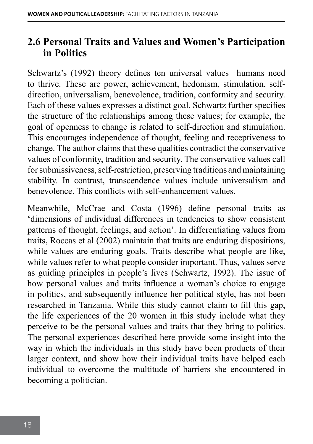### **2.6 Personal Traits and Values and Women's Participation in Politics**

Schwartz's (1992) theory defines ten universal values humans need to thrive. These are power, achievement, hedonism, stimulation, selfdirection, universalism, benevolence, tradition, conformity and security. Each of these values expresses a distinct goal. Schwartz further specifies the structure of the relationships among these values; for example, the goal of openness to change is related to self-direction and stimulation. This encourages independence of thought, feeling and receptiveness to change. The author claims that these qualities contradict the conservative values of conformity, tradition and security. The conservative values call for submissiveness, self-restriction, preserving traditions and maintaining stability. In contrast, transcendence values include universalism and benevolence. This conflicts with self-enhancement values.

Meanwhile, McCrae and Costa (1996) define personal traits as 'dimensions of individual differences in tendencies to show consistent patterns of thought, feelings, and action'. In differentiating values from traits, Roccas et al (2002) maintain that traits are enduring dispositions, while values are enduring goals. Traits describe what people are like, while values refer to what people consider important. Thus, values serve as guiding principles in people's lives (Schwartz, 1992). The issue of how personal values and traits influence a woman's choice to engage in politics, and subsequently influence her political style, has not been researched in Tanzania. While this study cannot claim to fill this gap, the life experiences of the 20 women in this study include what they perceive to be the personal values and traits that they bring to politics. The personal experiences described here provide some insight into the way in which the individuals in this study have been products of their larger context, and show how their individual traits have helped each individual to overcome the multitude of barriers she encountered in becoming a politician.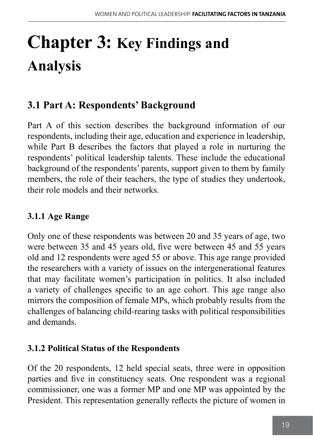# **Chapter 3: Key Findings and Analysis**

# **3.1 Part A: Respondents' Background**

Part A of this section describes the background information of our respondents, including their age, education and experience in leadership, while Part B describes the factors that played a role in nurturing the respondents' political leadership talents. These include the educational background of the respondents' parents, support given to them by family members, the role of their teachers, the type of studies they undertook, their role models and their networks.

### **3.1.1 Age Range**

Only one of these respondents was between 20 and 35 years of age, two were between 35 and 45 years old, five were between 45 and 55 years old and 12 respondents were aged 55 or above. This age range provided the researchers with a variety of issues on the intergenerational features that may facilitate women's participation in politics. It also included a variety of challenges specific to an age cohort. This age range also mirrors the composition of female MPs, which probably results from the challenges of balancing child-rearing tasks with political responsibilities and demands.

### **3.1.2 Political Status of the Respondents**

Of the 20 respondents, 12 held special seats, three were in opposition parties and five in constituency seats. One respondent was a regional commissioner, one was a former MP and one MP was appointed by the President. This representation generally reflects the picture of women in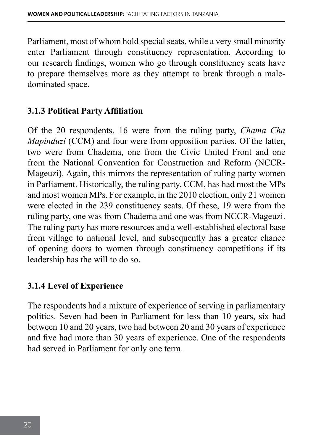Parliament, most of whom hold special seats, while a very small minority enter Parliament through constituency representation. According to our research findings, women who go through constituency seats have to prepare themselves more as they attempt to break through a maledominated space.

### **3.1.3 Political Party Affiliation**

Of the 20 respondents, 16 were from the ruling party, *Chama Cha Mapinduzi* (CCM) and four were from opposition parties. Of the latter, two were from Chadema, one from the Civic United Front and one from the National Convention for Construction and Reform (NCCR-Mageuzi). Again, this mirrors the representation of ruling party women in Parliament. Historically, the ruling party, CCM, has had most the MPs and most women MPs. For example, in the 2010 election, only 21 women were elected in the 239 constituency seats. Of these, 19 were from the ruling party, one was from Chadema and one was from NCCR-Mageuzi. The ruling party has more resources and a well-established electoral base from village to national level, and subsequently has a greater chance of opening doors to women through constituency competitions if its leadership has the will to do so.

### **3.1.4 Level of Experience**

The respondents had a mixture of experience of serving in parliamentary politics. Seven had been in Parliament for less than 10 years, six had between 10 and 20 years, two had between 20 and 30 years of experience and five had more than 30 years of experience. One of the respondents had served in Parliament for only one term.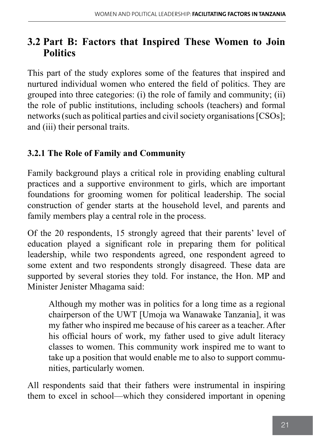## **3.2 Part B: Factors that Inspired These Women to Join Politics**

This part of the study explores some of the features that inspired and nurtured individual women who entered the field of politics. They are grouped into three categories: (i) the role of family and community; (ii) the role of public institutions, including schools (teachers) and formal networks (such as political parties and civil society organisations [CSOs]; and (iii) their personal traits.

### **3.2.1 The Role of Family and Community**

Family background plays a critical role in providing enabling cultural practices and a supportive environment to girls, which are important foundations for grooming women for political leadership. The social construction of gender starts at the household level, and parents and family members play a central role in the process.

Of the 20 respondents, 15 strongly agreed that their parents' level of education played a significant role in preparing them for political leadership, while two respondents agreed, one respondent agreed to some extent and two respondents strongly disagreed. These data are supported by several stories they told. For instance, the Hon. MP and Minister Jenister Mhagama said:

Although my mother was in politics for a long time as a regional chairperson of the UWT [Umoja wa Wanawake Tanzania], it was my father who inspired me because of his career as a teacher. After his official hours of work, my father used to give adult literacy classes to women. This community work inspired me to want to take up a position that would enable me to also to support communities, particularly women.

All respondents said that their fathers were instrumental in inspiring them to excel in school—which they considered important in opening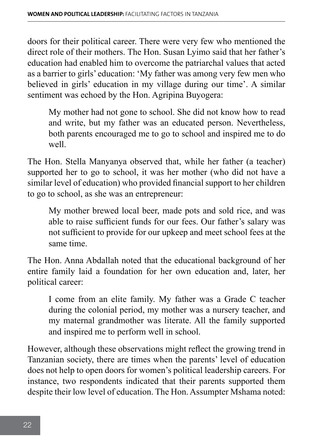doors for their political career. There were very few who mentioned the direct role of their mothers. The Hon. Susan Lyimo said that her father's education had enabled him to overcome the patriarchal values that acted as a barrier to girls' education: 'My father was among very few men who believed in girls' education in my village during our time'. A similar sentiment was echoed by the Hon. Agripina Buyogera:

My mother had not gone to school. She did not know how to read and write, but my father was an educated person. Nevertheless, both parents encouraged me to go to school and inspired me to do well.

The Hon. Stella Manyanya observed that, while her father (a teacher) supported her to go to school, it was her mother (who did not have a similar level of education) who provided financial support to her children to go to school, as she was an entrepreneur:

My mother brewed local beer, made pots and sold rice, and was able to raise sufficient funds for our fees. Our father's salary was not sufficient to provide for our upkeep and meet school fees at the same time.

The Hon. Anna Abdallah noted that the educational background of her entire family laid a foundation for her own education and, later, her political career:

I come from an elite family. My father was a Grade C teacher during the colonial period, my mother was a nursery teacher, and my maternal grandmother was literate. All the family supported and inspired me to perform well in school.

However, although these observations might reflect the growing trend in Tanzanian society, there are times when the parents' level of education does not help to open doors for women's political leadership careers. For instance, two respondents indicated that their parents supported them despite their low level of education. The Hon. Assumpter Mshama noted: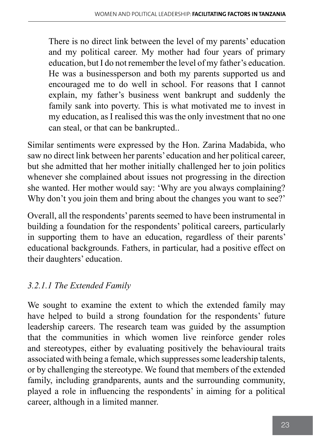There is no direct link between the level of my parents' education and my political career. My mother had four years of primary education, but I do not remember the level of my father's education. He was a businessperson and both my parents supported us and encouraged me to do well in school. For reasons that I cannot explain, my father's business went bankrupt and suddenly the family sank into poverty. This is what motivated me to invest in my education, as I realised this was the only investment that no one can steal, or that can be bankrupted..

Similar sentiments were expressed by the Hon. Zarina Madabida, who saw no direct link between her parents' education and her political career, but she admitted that her mother initially challenged her to join politics whenever she complained about issues not progressing in the direction she wanted. Her mother would say: 'Why are you always complaining? Why don't you join them and bring about the changes you want to see?'

Overall, all the respondents' parents seemed to have been instrumental in building a foundation for the respondents' political careers, particularly in supporting them to have an education, regardless of their parents' educational backgrounds. Fathers, in particular, had a positive effect on their daughters' education.

## *3.2.1.1 The Extended Family*

We sought to examine the extent to which the extended family may have helped to build a strong foundation for the respondents' future leadership careers. The research team was guided by the assumption that the communities in which women live reinforce gender roles and stereotypes, either by evaluating positively the behavioural traits associated with being a female, which suppresses some leadership talents, or by challenging the stereotype. We found that members of the extended family, including grandparents, aunts and the surrounding community, played a role in influencing the respondents' in aiming for a political career, although in a limited manner.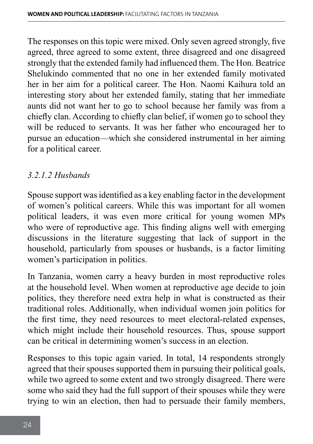The responses on this topic were mixed. Only seven agreed strongly, five agreed, three agreed to some extent, three disagreed and one disagreed strongly that the extended family had influenced them. The Hon. Beatrice Shelukindo commented that no one in her extended family motivated her in her aim for a political career. The Hon. Naomi Kaihura told an interesting story about her extended family, stating that her immediate aunts did not want her to go to school because her family was from a chiefly clan. According to chiefly clan belief, if women go to school they will be reduced to servants. It was her father who encouraged her to pursue an education—which she considered instrumental in her aiming for a political career.

### *3.2.1.2 Husbands*

Spouse support was identified as a key enabling factor in the development of women's political careers. While this was important for all women political leaders, it was even more critical for young women MPs who were of reproductive age. This finding aligns well with emerging discussions in the literature suggesting that lack of support in the household, particularly from spouses or husbands, is a factor limiting women's participation in politics.

In Tanzania, women carry a heavy burden in most reproductive roles at the household level. When women at reproductive age decide to join politics, they therefore need extra help in what is constructed as their traditional roles. Additionally, when individual women join politics for the first time, they need resources to meet electoral-related expenses, which might include their household resources. Thus, spouse support can be critical in determining women's success in an election.

Responses to this topic again varied. In total, 14 respondents strongly agreed that their spouses supported them in pursuing their political goals, while two agreed to some extent and two strongly disagreed. There were some who said they had the full support of their spouses while they were trying to win an election, then had to persuade their family members,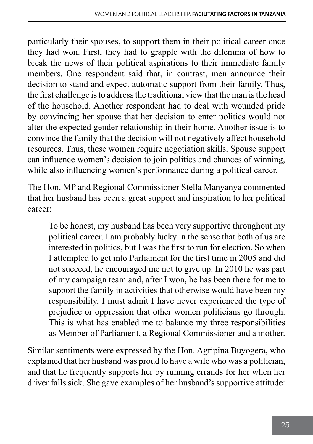particularly their spouses, to support them in their political career once they had won. First, they had to grapple with the dilemma of how to break the news of their political aspirations to their immediate family members. One respondent said that, in contrast, men announce their decision to stand and expect automatic support from their family. Thus, the first challenge is to address the traditional view that the man is the head of the household. Another respondent had to deal with wounded pride by convincing her spouse that her decision to enter politics would not alter the expected gender relationship in their home. Another issue is to convince the family that the decision will not negatively affect household resources. Thus, these women require negotiation skills. Spouse support can influence women's decision to join politics and chances of winning, while also influencing women's performance during a political career.

The Hon. MP and Regional Commissioner Stella Manyanya commented that her husband has been a great support and inspiration to her political career:

To be honest, my husband has been very supportive throughout my political career. I am probably lucky in the sense that both of us are interested in politics, but I was the first to run for election. So when I attempted to get into Parliament for the first time in 2005 and did not succeed, he encouraged me not to give up. In 2010 he was part of my campaign team and, after I won, he has been there for me to support the family in activities that otherwise would have been my responsibility. I must admit I have never experienced the type of prejudice or oppression that other women politicians go through. This is what has enabled me to balance my three responsibilities as Member of Parliament, a Regional Commissioner and a mother.

Similar sentiments were expressed by the Hon. Agripina Buyogera, who explained that her husband was proud to have a wife who was a politician, and that he frequently supports her by running errands for her when her driver falls sick. She gave examples of her husband's supportive attitude: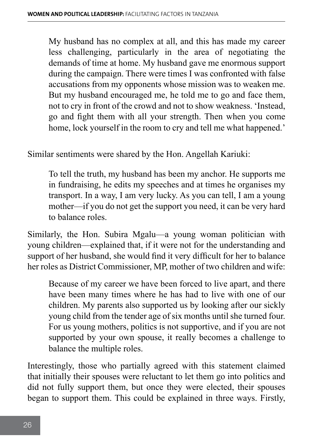My husband has no complex at all, and this has made my career less challenging, particularly in the area of negotiating the demands of time at home. My husband gave me enormous support during the campaign. There were times I was confronted with false accusations from my opponents whose mission was to weaken me. But my husband encouraged me, he told me to go and face them, not to cry in front of the crowd and not to show weakness. 'Instead, go and fight them with all your strength. Then when you come home, lock yourself in the room to cry and tell me what happened.'

Similar sentiments were shared by the Hon. Angellah Kariuki:

To tell the truth, my husband has been my anchor. He supports me in fundraising, he edits my speeches and at times he organises my transport. In a way, I am very lucky. As you can tell, I am a young mother—if you do not get the support you need, it can be very hard to balance roles.

Similarly, the Hon. Subira Mgalu—a young woman politician with young children—explained that, if it were not for the understanding and support of her husband, she would find it very difficult for her to balance her roles as District Commissioner, MP, mother of two children and wife:

Because of my career we have been forced to live apart, and there have been many times where he has had to live with one of our children. My parents also supported us by looking after our sickly young child from the tender age of six months until she turned four. For us young mothers, politics is not supportive, and if you are not supported by your own spouse, it really becomes a challenge to balance the multiple roles.

Interestingly, those who partially agreed with this statement claimed that initially their spouses were reluctant to let them go into politics and did not fully support them, but once they were elected, their spouses began to support them. This could be explained in three ways. Firstly,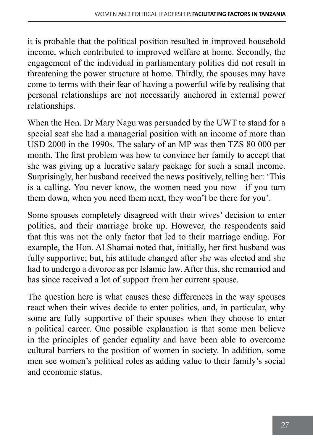it is probable that the political position resulted in improved household income, which contributed to improved welfare at home. Secondly, the engagement of the individual in parliamentary politics did not result in threatening the power structure at home. Thirdly, the spouses may have come to terms with their fear of having a powerful wife by realising that personal relationships are not necessarily anchored in external power relationships.

When the Hon. Dr Mary Nagu was persuaded by the UWT to stand for a special seat she had a managerial position with an income of more than USD 2000 in the 1990s. The salary of an MP was then TZS 80 000 per month. The first problem was how to convince her family to accept that she was giving up a lucrative salary package for such a small income. Surprisingly, her husband received the news positively, telling her: 'This is a calling. You never know, the women need you now—if you turn them down, when you need them next, they won't be there for you'.

Some spouses completely disagreed with their wives' decision to enter politics, and their marriage broke up. However, the respondents said that this was not the only factor that led to their marriage ending. For example, the Hon. Al Shamai noted that, initially, her first husband was fully supportive; but, his attitude changed after she was elected and she had to undergo a divorce as per Islamic law. After this, she remarried and has since received a lot of support from her current spouse.

The question here is what causes these differences in the way spouses react when their wives decide to enter politics, and, in particular, why some are fully supportive of their spouses when they choose to enter a political career. One possible explanation is that some men believe in the principles of gender equality and have been able to overcome cultural barriers to the position of women in society. In addition, some men see women's political roles as adding value to their family's social and economic status.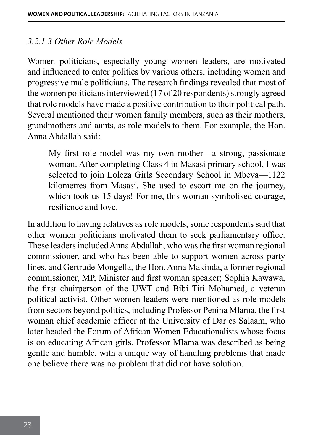### *3.2.1.3 Other Role Models*

Women politicians, especially young women leaders, are motivated and influenced to enter politics by various others, including women and progressive male politicians. The research findings revealed that most of the women politicians interviewed (17 of 20 respondents) strongly agreed that role models have made a positive contribution to their political path. Several mentioned their women family members, such as their mothers, grandmothers and aunts, as role models to them. For example, the Hon. Anna Abdallah said:

My first role model was my own mother—a strong, passionate woman. After completing Class 4 in Masasi primary school, I was selected to join Loleza Girls Secondary School in Mbeya—1122 kilometres from Masasi. She used to escort me on the journey, which took us 15 days! For me, this woman symbolised courage, resilience and love.

In addition to having relatives as role models, some respondents said that other women politicians motivated them to seek parliamentary office. These leaders included Anna Abdallah, who was the first woman regional commissioner, and who has been able to support women across party lines, and Gertrude Mongella, the Hon. Anna Makinda, a former regional commissioner, MP, Minister and first woman speaker; Sophia Kawawa, the first chairperson of the UWT and Bibi Titi Mohamed, a veteran political activist. Other women leaders were mentioned as role models from sectors beyond politics, including Professor Penina Mlama, the first woman chief academic officer at the University of Dar es Salaam, who later headed the Forum of African Women Educationalists whose focus is on educating African girls. Professor Mlama was described as being gentle and humble, with a unique way of handling problems that made one believe there was no problem that did not have solution.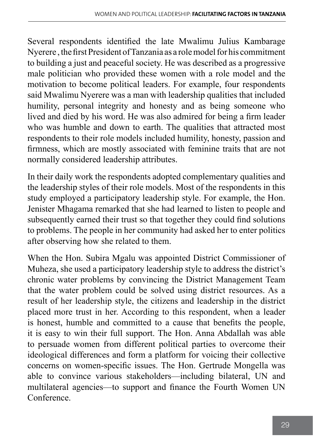Several respondents identified the late Mwalimu Julius Kambarage Nyerere , the first President of Tanzania as a role model for his commitment to building a just and peaceful society. He was described as a progressive male politician who provided these women with a role model and the motivation to become political leaders. For example, four respondents said Mwalimu Nyerere was a man with leadership qualities that included humility, personal integrity and honesty and as being someone who lived and died by his word. He was also admired for being a firm leader who was humble and down to earth. The qualities that attracted most respondents to their role models included humility, honesty, passion and firmness, which are mostly associated with feminine traits that are not normally considered leadership attributes.

In their daily work the respondents adopted complementary qualities and the leadership styles of their role models. Most of the respondents in this study employed a participatory leadership style. For example, the Hon. Jenister Mhagama remarked that she had learned to listen to people and subsequently earned their trust so that together they could find solutions to problems. The people in her community had asked her to enter politics after observing how she related to them.

When the Hon. Subira Mgalu was appointed District Commissioner of Muheza, she used a participatory leadership style to address the district's chronic water problems by convincing the District Management Team that the water problem could be solved using district resources. As a result of her leadership style, the citizens and leadership in the district placed more trust in her. According to this respondent, when a leader is honest, humble and committed to a cause that benefits the people, it is easy to win their full support. The Hon. Anna Abdallah was able to persuade women from different political parties to overcome their ideological differences and form a platform for voicing their collective concerns on women-specific issues. The Hon. Gertrude Mongella was able to convince various stakeholders—including bilateral, UN and multilateral agencies—to support and finance the Fourth Women UN Conference.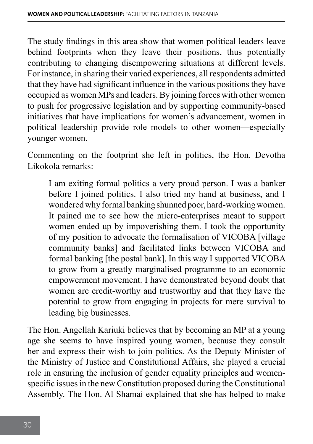The study findings in this area show that women political leaders leave behind footprints when they leave their positions, thus potentially contributing to changing disempowering situations at different levels. For instance, in sharing their varied experiences, all respondents admitted that they have had significant influence in the various positions they have occupied as women MPs and leaders. By joining forces with other women to push for progressive legislation and by supporting community-based initiatives that have implications for women's advancement, women in political leadership provide role models to other women—especially younger women.

Commenting on the footprint she left in politics, the Hon. Devotha Likokola remarks:

I am exiting formal politics a very proud person. I was a banker before I joined politics. I also tried my hand at business, and I wondered why formal banking shunned poor, hard-working women. It pained me to see how the micro-enterprises meant to support women ended up by impoverishing them. I took the opportunity of my position to advocate the formalisation of VICOBA [village community banks] and facilitated links between VICOBA and formal banking [the postal bank]. In this way I supported VICOBA to grow from a greatly marginalised programme to an economic empowerment movement. I have demonstrated beyond doubt that women are credit-worthy and trustworthy and that they have the potential to grow from engaging in projects for mere survival to leading big businesses.

The Hon. Angellah Kariuki believes that by becoming an MP at a young age she seems to have inspired young women, because they consult her and express their wish to join politics. As the Deputy Minister of the Ministry of Justice and Constitutional Affairs, she played a crucial role in ensuring the inclusion of gender equality principles and womenspecific issues in the new Constitution proposed during the Constitutional Assembly. The Hon. Al Shamai explained that she has helped to make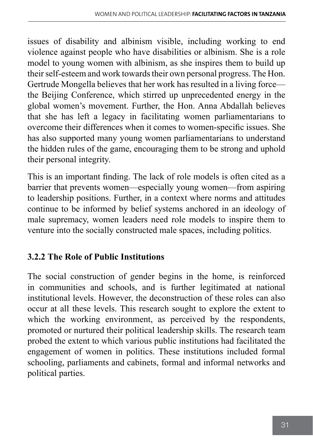issues of disability and albinism visible, including working to end violence against people who have disabilities or albinism. She is a role model to young women with albinism, as she inspires them to build up their self-esteem and work towards their own personal progress. The Hon. Gertrude Mongella believes that her work has resulted in a living force the Beijing Conference, which stirred up unprecedented energy in the global women's movement. Further, the Hon. Anna Abdallah believes that she has left a legacy in facilitating women parliamentarians to overcome their differences when it comes to women-specific issues. She has also supported many young women parliamentarians to understand the hidden rules of the game, encouraging them to be strong and uphold their personal integrity.

This is an important finding. The lack of role models is often cited as a barrier that prevents women—especially young women—from aspiring to leadership positions. Further, in a context where norms and attitudes continue to be informed by belief systems anchored in an ideology of male supremacy, women leaders need role models to inspire them to venture into the socially constructed male spaces, including politics.

### **3.2.2 The Role of Public Institutions**

The social construction of gender begins in the home, is reinforced in communities and schools, and is further legitimated at national institutional levels. However, the deconstruction of these roles can also occur at all these levels. This research sought to explore the extent to which the working environment, as perceived by the respondents, promoted or nurtured their political leadership skills. The research team probed the extent to which various public institutions had facilitated the engagement of women in politics. These institutions included formal schooling, parliaments and cabinets, formal and informal networks and political parties.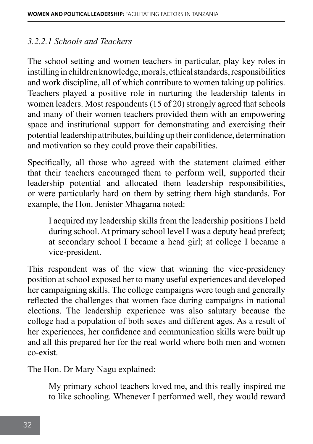#### *3.2.2.1 Schools and Teachers*

The school setting and women teachers in particular, play key roles in instilling in children knowledge, morals, ethical standards, responsibilities and work discipline, all of which contribute to women taking up politics. Teachers played a positive role in nurturing the leadership talents in women leaders. Most respondents (15 of 20) strongly agreed that schools and many of their women teachers provided them with an empowering space and institutional support for demonstrating and exercising their potential leadership attributes, building up their confidence, determination and motivation so they could prove their capabilities.

Specifically, all those who agreed with the statement claimed either that their teachers encouraged them to perform well, supported their leadership potential and allocated them leadership responsibilities, or were particularly hard on them by setting them high standards. For example, the Hon. Jenister Mhagama noted:

I acquired my leadership skills from the leadership positions I held during school. At primary school level I was a deputy head prefect; at secondary school I became a head girl; at college I became a vice-president.

This respondent was of the view that winning the vice-presidency position at school exposed her to many useful experiences and developed her campaigning skills. The college campaigns were tough and generally reflected the challenges that women face during campaigns in national elections. The leadership experience was also salutary because the college had a population of both sexes and different ages. As a result of her experiences, her confidence and communication skills were built up and all this prepared her for the real world where both men and women co-exist.

The Hon. Dr Mary Nagu explained:

My primary school teachers loved me, and this really inspired me to like schooling. Whenever I performed well, they would reward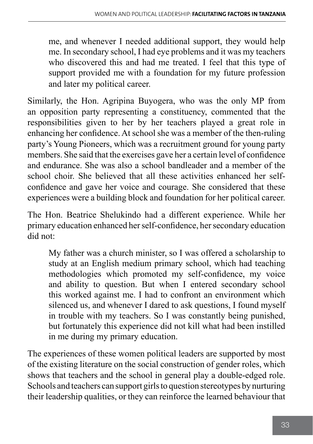me, and whenever I needed additional support, they would help me. In secondary school, I had eye problems and it was my teachers who discovered this and had me treated. I feel that this type of support provided me with a foundation for my future profession and later my political career.

Similarly, the Hon. Agripina Buyogera, who was the only MP from an opposition party representing a constituency, commented that the responsibilities given to her by her teachers played a great role in enhancing her confidence. At school she was a member of the then-ruling party's Young Pioneers, which was a recruitment ground for young party members. She said that the exercises gave her a certain level of confidence and endurance. She was also a school bandleader and a member of the school choir. She believed that all these activities enhanced her selfconfidence and gave her voice and courage. She considered that these experiences were a building block and foundation for her political career.

The Hon. Beatrice Shelukindo had a different experience. While her primary education enhanced her self-confidence, her secondary education did not:

My father was a church minister, so I was offered a scholarship to study at an English medium primary school, which had teaching methodologies which promoted my self-confidence, my voice and ability to question. But when I entered secondary school this worked against me. I had to confront an environment which silenced us, and whenever I dared to ask questions, I found myself in trouble with my teachers. So I was constantly being punished, but fortunately this experience did not kill what had been instilled in me during my primary education.

The experiences of these women political leaders are supported by most of the existing literature on the social construction of gender roles, which shows that teachers and the school in general play a double-edged role. Schools and teachers can support girls to question stereotypes by nurturing their leadership qualities, or they can reinforce the learned behaviour that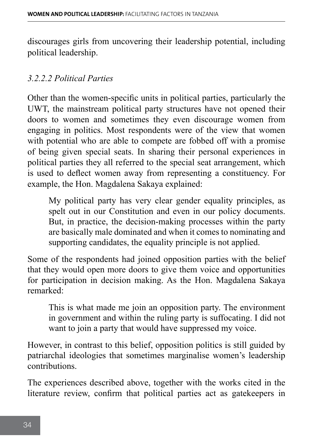discourages girls from uncovering their leadership potential, including political leadership.

#### *3.2.2.2 Political Parties*

Other than the women-specific units in political parties, particularly the UWT, the mainstream political party structures have not opened their doors to women and sometimes they even discourage women from engaging in politics. Most respondents were of the view that women with potential who are able to compete are fobbed off with a promise of being given special seats. In sharing their personal experiences in political parties they all referred to the special seat arrangement, which is used to deflect women away from representing a constituency. For example, the Hon. Magdalena Sakaya explained:

My political party has very clear gender equality principles, as spelt out in our Constitution and even in our policy documents. But, in practice, the decision-making processes within the party are basically male dominated and when it comes to nominating and supporting candidates, the equality principle is not applied.

Some of the respondents had joined opposition parties with the belief that they would open more doors to give them voice and opportunities for participation in decision making. As the Hon. Magdalena Sakaya remarked:

This is what made me join an opposition party. The environment in government and within the ruling party is suffocating. I did not want to join a party that would have suppressed my voice.

However, in contrast to this belief, opposition politics is still guided by patriarchal ideologies that sometimes marginalise women's leadership contributions.

The experiences described above, together with the works cited in the literature review, confirm that political parties act as gatekeepers in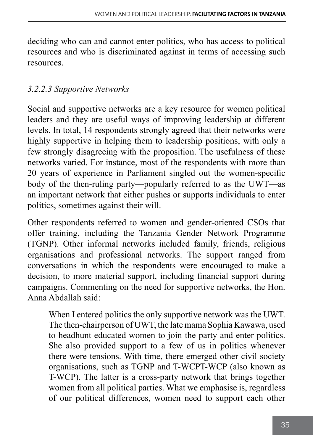deciding who can and cannot enter politics, who has access to political resources and who is discriminated against in terms of accessing such resources.

### *3.2.2.3 Supportive Networks*

Social and supportive networks are a key resource for women political leaders and they are useful ways of improving leadership at different levels. In total, 14 respondents strongly agreed that their networks were highly supportive in helping them to leadership positions, with only a few strongly disagreeing with the proposition. The usefulness of these networks varied. For instance, most of the respondents with more than 20 years of experience in Parliament singled out the women-specific body of the then-ruling party—popularly referred to as the UWT—as an important network that either pushes or supports individuals to enter politics, sometimes against their will.

Other respondents referred to women and gender-oriented CSOs that offer training, including the Tanzania Gender Network Programme (TGNP). Other informal networks included family, friends, religious organisations and professional networks. The support ranged from conversations in which the respondents were encouraged to make a decision, to more material support, including financial support during campaigns. Commenting on the need for supportive networks, the Hon. Anna Abdallah said:

When I entered politics the only supportive network was the UWT. The then-chairperson of UWT, the late mama Sophia Kawawa, used to headhunt educated women to join the party and enter politics. She also provided support to a few of us in politics whenever there were tensions. With time, there emerged other civil society organisations, such as TGNP and T-WCPT-WCP (also known as T-WCP). The latter is a cross-party network that brings together women from all political parties. What we emphasise is, regardless of our political differences, women need to support each other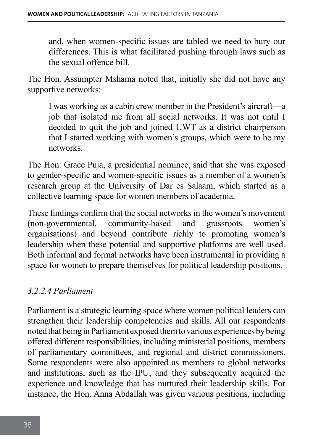and, when women-specific issues are tabled we need to bury our differences. This is what facilitated pushing through laws such as the sexual offence bill.

The Hon. Assumpter Mshama noted that, initially she did not have any supportive networks:

I was working as a cabin crew member in the President's aircraft—a job that isolated me from all social networks. It was not until I decided to quit the job and joined UWT as a district chairperson that I started working with women's groups, which were to be my networks.

The Hon. Grace Puja, a presidential nominee, said that she was exposed to gender-specific and women-specific issues as a member of a women's research group at the University of Dar es Salaam, which started as a collective learning space for women members of academia.

These findings confirm that the social networks in the women's movement (non-governmental, community-based and grassroots women's organisations) and beyond contribute richly to promoting women's leadership when these potential and supportive platforms are well used. Both informal and formal networks have been instrumental in providing a space for women to prepare themselves for political leadership positions.

### *3.2.2.4 Parliament*

Parliament is a strategic learning space where women political leaders can strengthen their leadership competencies and skills. All our respondents noted that being in Parliament exposed them to various experiences by being offered different responsibilities, including ministerial positions, members of parliamentary committees, and regional and district commissioners. Some respondents were also appointed as members to global networks and institutions, such as the IPU, and they subsequently acquired the experience and knowledge that has nurtured their leadership skills. For instance, the Hon. Anna Abdallah was given various positions, including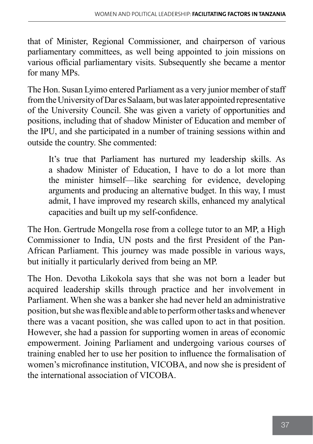that of Minister, Regional Commissioner, and chairperson of various parliamentary committees, as well being appointed to join missions on various official parliamentary visits. Subsequently she became a mentor for many MPs.

The Hon. Susan Lyimo entered Parliament as a very junior member of staff from the University of Dar es Salaam, but was later appointed representative of the University Council. She was given a variety of opportunities and positions, including that of shadow Minister of Education and member of the IPU, and she participated in a number of training sessions within and outside the country. She commented:

It's true that Parliament has nurtured my leadership skills. As a shadow Minister of Education, I have to do a lot more than the minister himself—like searching for evidence, developing arguments and producing an alternative budget. In this way, I must admit, I have improved my research skills, enhanced my analytical capacities and built up my self-confidence.

The Hon. Gertrude Mongella rose from a college tutor to an MP, a High Commissioner to India, UN posts and the first President of the Pan-African Parliament. This journey was made possible in various ways, but initially it particularly derived from being an MP.

The Hon. Devotha Likokola says that she was not born a leader but acquired leadership skills through practice and her involvement in Parliament. When she was a banker she had never held an administrative position, but she was flexible and able to perform other tasks and whenever there was a vacant position, she was called upon to act in that position. However, she had a passion for supporting women in areas of economic empowerment. Joining Parliament and undergoing various courses of training enabled her to use her position to influence the formalisation of women's microfinance institution, VICOBA, and now she is president of the international association of VICOBA.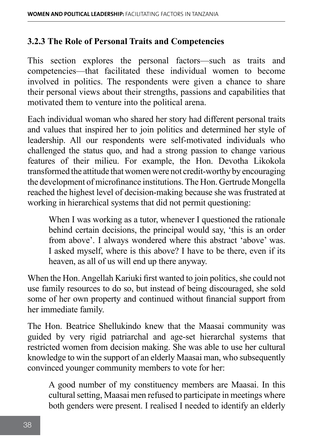#### **3.2.3 The Role of Personal Traits and Competencies**

This section explores the personal factors—such as traits and competencies—that facilitated these individual women to become involved in politics. The respondents were given a chance to share their personal views about their strengths, passions and capabilities that motivated them to venture into the political arena.

Each individual woman who shared her story had different personal traits and values that inspired her to join politics and determined her style of leadership. All our respondents were self-motivated individuals who challenged the status quo, and had a strong passion to change various features of their milieu. For example, the Hon. Devotha Likokola transformed the attitude that women were not credit-worthy by encouraging the development of microfinance institutions. The Hon. Gertrude Mongella reached the highest level of decision-making because she was frustrated at working in hierarchical systems that did not permit questioning:

When I was working as a tutor, whenever I questioned the rationale behind certain decisions, the principal would say, 'this is an order from above'. I always wondered where this abstract 'above' was. I asked myself, where is this above? I have to be there, even if its heaven, as all of us will end up there anyway.

When the Hon. Angellah Kariuki first wanted to join politics, she could not use family resources to do so, but instead of being discouraged, she sold some of her own property and continued without financial support from her immediate family.

The Hon. Beatrice Shellukindo knew that the Maasai community was guided by very rigid patriarchal and age-set hierarchal systems that restricted women from decision making. She was able to use her cultural knowledge to win the support of an elderly Maasai man, who subsequently convinced younger community members to vote for her:

A good number of my constituency members are Maasai. In this cultural setting, Maasai men refused to participate in meetings where both genders were present. I realised I needed to identify an elderly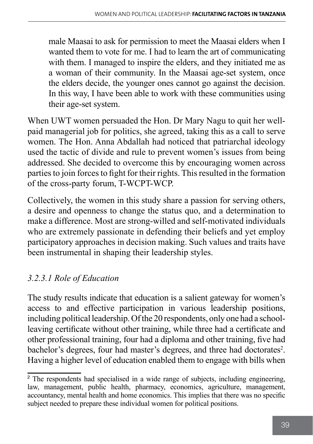male Maasai to ask for permission to meet the Maasai elders when I wanted them to vote for me. I had to learn the art of communicating with them. I managed to inspire the elders, and they initiated me as a woman of their community. In the Maasai age-set system, once the elders decide, the younger ones cannot go against the decision. In this way, I have been able to work with these communities using their age-set system.

When UWT women persuaded the Hon. Dr Mary Nagu to quit her wellpaid managerial job for politics, she agreed, taking this as a call to serve women. The Hon. Anna Abdallah had noticed that patriarchal ideology used the tactic of divide and rule to prevent women's issues from being addressed. She decided to overcome this by encouraging women across parties to join forces to fight for their rights. This resulted in the formation of the cross-party forum, T-WCPT-WCP.

Collectively, the women in this study share a passion for serving others, a desire and openness to change the status quo, and a determination to make a difference. Most are strong-willed and self-motivated individuals who are extremely passionate in defending their beliefs and yet employ participatory approaches in decision making. Such values and traits have been instrumental in shaping their leadership styles.

## *3.2.3.1 Role of Education*

The study results indicate that education is a salient gateway for women's access to and effective participation in various leadership positions, including political leadership. Of the 20 respondents, only one had a schoolleaving certificate without other training, while three had a certificate and other professional training, four had a diploma and other training, five had bachelor's degrees, four had master's degrees, and three had doctorates<sup>2</sup>. Having a higher level of education enabled them to engage with bills when

<sup>&</sup>lt;sup>2</sup> The respondents had specialised in a wide range of subjects, including engineering, law, management, public health, pharmacy, economics, agriculture, management, accountancy, mental health and home economics. This implies that there was no specific subject needed to prepare these individual women for political positions.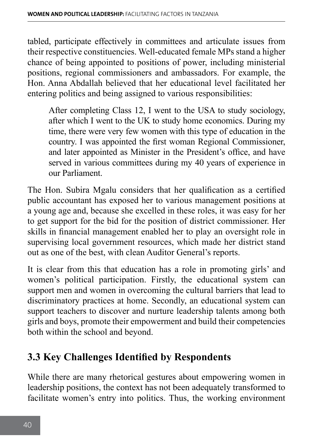tabled, participate effectively in committees and articulate issues from their respective constituencies. Well-educated female MPs stand a higher chance of being appointed to positions of power, including ministerial positions, regional commissioners and ambassadors. For example, the Hon. Anna Abdallah believed that her educational level facilitated her entering politics and being assigned to various responsibilities:

After completing Class 12, I went to the USA to study sociology, after which I went to the UK to study home economics. During my time, there were very few women with this type of education in the country. I was appointed the first woman Regional Commissioner, and later appointed as Minister in the President's office, and have served in various committees during my 40 years of experience in our Parliament.

The Hon. Subira Mgalu considers that her qualification as a certified public accountant has exposed her to various management positions at a young age and, because she excelled in these roles, it was easy for her to get support for the bid for the position of district commissioner. Her skills in financial management enabled her to play an oversight role in supervising local government resources, which made her district stand out as one of the best, with clean Auditor General's reports.

It is clear from this that education has a role in promoting girls' and women's political participation. Firstly, the educational system can support men and women in overcoming the cultural barriers that lead to discriminatory practices at home. Secondly, an educational system can support teachers to discover and nurture leadership talents among both girls and boys, promote their empowerment and build their competencies both within the school and beyond.

# **3.3 Key Challenges Identified by Respondents**

While there are many rhetorical gestures about empowering women in leadership positions, the context has not been adequately transformed to facilitate women's entry into politics. Thus, the working environment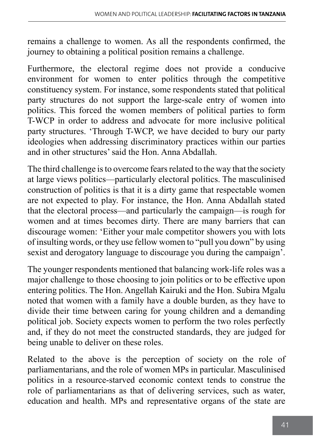remains a challenge to women. As all the respondents confirmed, the journey to obtaining a political position remains a challenge.

Furthermore, the electoral regime does not provide a conducive environment for women to enter politics through the competitive constituency system. For instance, some respondents stated that political party structures do not support the large-scale entry of women into politics. This forced the women members of political parties to form T-WCP in order to address and advocate for more inclusive political party structures. 'Through T-WCP, we have decided to bury our party ideologies when addressing discriminatory practices within our parties and in other structures' said the Hon. Anna Abdallah.

The third challenge is to overcome fears related to the way that the society at large views politics—particularly electoral politics. The masculinised construction of politics is that it is a dirty game that respectable women are not expected to play. For instance, the Hon. Anna Abdallah stated that the electoral process—and particularly the campaign—is rough for women and at times becomes dirty. There are many barriers that can discourage women: 'Either your male competitor showers you with lots of insulting words, or they use fellow women to "pull you down" by using sexist and derogatory language to discourage you during the campaign'.

The younger respondents mentioned that balancing work-life roles was a major challenge to those choosing to join politics or to be effective upon entering politics. The Hon. Angellah Kairuki and the Hon. Subira Mgalu noted that women with a family have a double burden, as they have to divide their time between caring for young children and a demanding political job. Society expects women to perform the two roles perfectly and, if they do not meet the constructed standards, they are judged for being unable to deliver on these roles.

Related to the above is the perception of society on the role of parliamentarians, and the role of women MPs in particular. Masculinised politics in a resource-starved economic context tends to construe the role of parliamentarians as that of delivering services, such as water, education and health. MPs and representative organs of the state are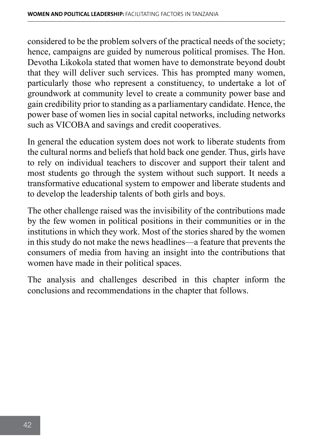considered to be the problem solvers of the practical needs of the society; hence, campaigns are guided by numerous political promises. The Hon. Devotha Likokola stated that women have to demonstrate beyond doubt that they will deliver such services. This has prompted many women, particularly those who represent a constituency, to undertake a lot of groundwork at community level to create a community power base and gain credibility prior to standing as a parliamentary candidate. Hence, the power base of women lies in social capital networks, including networks such as VICOBA and savings and credit cooperatives.

In general the education system does not work to liberate students from the cultural norms and beliefs that hold back one gender. Thus, girls have to rely on individual teachers to discover and support their talent and most students go through the system without such support. It needs a transformative educational system to empower and liberate students and to develop the leadership talents of both girls and boys.

The other challenge raised was the invisibility of the contributions made by the few women in political positions in their communities or in the institutions in which they work. Most of the stories shared by the women in this study do not make the news headlines—a feature that prevents the consumers of media from having an insight into the contributions that women have made in their political spaces.

The analysis and challenges described in this chapter inform the conclusions and recommendations in the chapter that follows.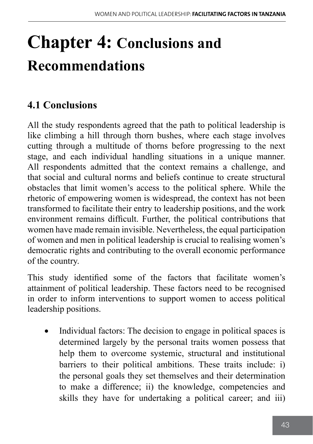# **Chapter 4: Conclusions and Recommendations**

# **4.1 Conclusions**

All the study respondents agreed that the path to political leadership is like climbing a hill through thorn bushes, where each stage involves cutting through a multitude of thorns before progressing to the next stage, and each individual handling situations in a unique manner. All respondents admitted that the context remains a challenge, and that social and cultural norms and beliefs continue to create structural obstacles that limit women's access to the political sphere. While the rhetoric of empowering women is widespread, the context has not been transformed to facilitate their entry to leadership positions, and the work environment remains difficult. Further, the political contributions that women have made remain invisible. Nevertheless, the equal participation of women and men in political leadership is crucial to realising women's democratic rights and contributing to the overall economic performance of the country.

This study identified some of the factors that facilitate women's attainment of political leadership. These factors need to be recognised in order to inform interventions to support women to access political leadership positions.

Individual factors: The decision to engage in political spaces is determined largely by the personal traits women possess that help them to overcome systemic, structural and institutional barriers to their political ambitions. These traits include: i) the personal goals they set themselves and their determination to make a difference; ii) the knowledge, competencies and skills they have for undertaking a political career; and iii)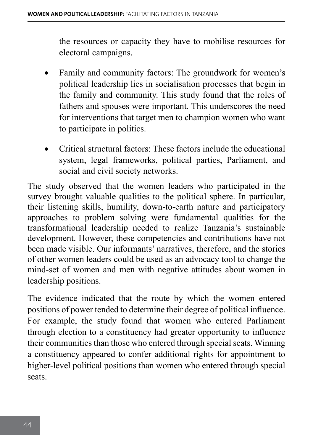the resources or capacity they have to mobilise resources for electoral campaigns.

- Family and community factors: The groundwork for women's political leadership lies in socialisation processes that begin in the family and community. This study found that the roles of fathers and spouses were important. This underscores the need for interventions that target men to champion women who want to participate in politics.
- Critical structural factors: These factors include the educational system, legal frameworks, political parties, Parliament, and social and civil society networks.

The study observed that the women leaders who participated in the survey brought valuable qualities to the political sphere. In particular, their listening skills, humility, down-to-earth nature and participatory approaches to problem solving were fundamental qualities for the transformational leadership needed to realize Tanzania's sustainable development. However, these competencies and contributions have not been made visible. Our informants' narratives, therefore, and the stories of other women leaders could be used as an advocacy tool to change the mind-set of women and men with negative attitudes about women in leadership positions.

The evidence indicated that the route by which the women entered positions of power tended to determine their degree of political influence. For example, the study found that women who entered Parliament through election to a constituency had greater opportunity to influence their communities than those who entered through special seats. Winning a constituency appeared to confer additional rights for appointment to higher-level political positions than women who entered through special seats.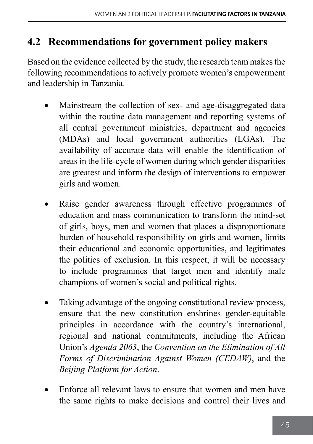## **4.2 Recommendations for government policy makers**

Based on the evidence collected by the study, the research team makes the following recommendations to actively promote women's empowerment and leadership in Tanzania.

- Mainstream the collection of sex- and age-disaggregated data within the routine data management and reporting systems of all central government ministries, department and agencies (MDAs) and local government authorities (LGAs). The availability of accurate data will enable the identification of areas in the life-cycle of women during which gender disparities are greatest and inform the design of interventions to empower girls and women.
- Raise gender awareness through effective programmes of education and mass communication to transform the mind-set of girls, boys, men and women that places a disproportionate burden of household responsibility on girls and women, limits their educational and economic opportunities, and legitimates the politics of exclusion. In this respect, it will be necessary to include programmes that target men and identify male champions of women's social and political rights.
- Taking advantage of the ongoing constitutional review process, ensure that the new constitution enshrines gender-equitable principles in accordance with the country's international, regional and national commitments, including the African Union's *Agenda 2063*, the *Convention on the Elimination of All Forms of Discrimination Against Women (CEDAW)*, and the *Beijing Platform for Action*.
- Enforce all relevant laws to ensure that women and men have the same rights to make decisions and control their lives and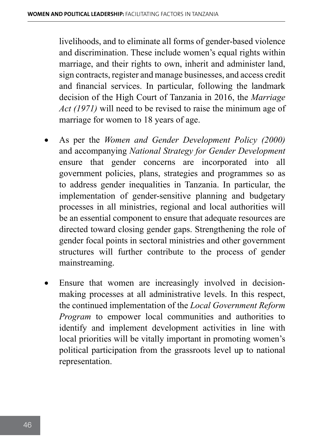livelihoods, and to eliminate all forms of gender-based violence and discrimination. These include women's equal rights within marriage, and their rights to own, inherit and administer land, sign contracts, register and manage businesses, and access credit and financial services. In particular, following the landmark decision of the High Court of Tanzania in 2016, the *Marriage Act (1971)* will need to be revised to raise the minimum age of marriage for women to 18 years of age.

- As per the *Women and Gender Development Policy (2000)* and accompanying *National Strategy for Gender Development* ensure that gender concerns are incorporated into all government policies, plans, strategies and programmes so as to address gender inequalities in Tanzania. In particular, the implementation of gender-sensitive planning and budgetary processes in all ministries, regional and local authorities will be an essential component to ensure that adequate resources are directed toward closing gender gaps. Strengthening the role of gender focal points in sectoral ministries and other government structures will further contribute to the process of gender mainstreaming.
- Ensure that women are increasingly involved in decisionmaking processes at all administrative levels. In this respect, the continued implementation of the *Local Government Reform Program* to empower local communities and authorities to identify and implement development activities in line with local priorities will be vitally important in promoting women's political participation from the grassroots level up to national representation.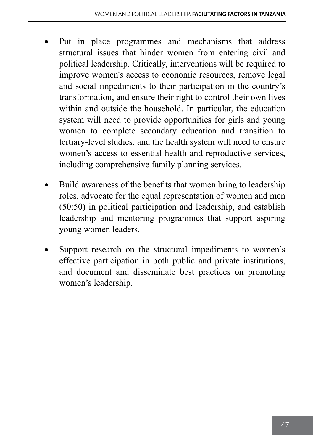- Put in place programmes and mechanisms that address structural issues that hinder women from entering civil and political leadership. Critically, interventions will be required to improve women's access to economic resources, remove legal and social impediments to their participation in the country's transformation, and ensure their right to control their own lives within and outside the household. In particular, the education system will need to provide opportunities for girls and young women to complete secondary education and transition to tertiary-level studies, and the health system will need to ensure women's access to essential health and reproductive services, including comprehensive family planning services.
- Build awareness of the benefits that women bring to leadership roles, advocate for the equal representation of women and men (50:50) in political participation and leadership, and establish leadership and mentoring programmes that support aspiring young women leaders.
- Support research on the structural impediments to women's effective participation in both public and private institutions, and document and disseminate best practices on promoting women's leadership.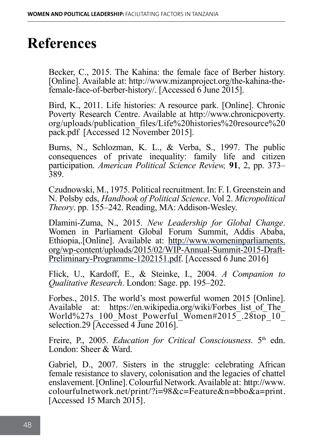# **References**

Becker, C., 2015. The Kahina: the female face of Berber history. [Online]. Available at: http://www.mizanproject.org/the-kahina-thefemale-face-of-berber-history/. [Accessed 6 June 2015].

Bird, K., 2011. Life histories: A resource park. [Online]. Chronic Poverty Research Centre. Available at http://www.chronicpoverty. org/uploads/publication\_files/Life%20histories%20resource%20 pack.pdf [Accessed 12 November 2015].

Burns, N., Schlozman, K. L., & Verba, S., 1997. The public consequences of private inequality: family life and citizen participation. *American Political Science Review,* **91**, 2, pp. 373– 389.

Czudnowski, M., 1975. Political recruitment. In: F. I. Greenstein and N. Polsby eds, *Handbook of Political Science*. Vol 2. *Micropolitical Theory*. pp. 155–242. Reading, MA: Addison-Wesley.

Dlamini-Zuma, N., 2015. *New Leadership for Global Change*. Women in Parliament Global Forum Summit, Addis Ababa, Ethiopia,.[Online]. Available at: [http://www.womeninparliaments.](http://www.womeninparliaments.org/wp-content/uploads/2015/02/WIP-Annual-Summit-2015-Draft-Preliminary-Programme-1202151.pdf) [org/wp-content/uploads/2015/02/WIP-Annual-Summit-2015-Draft-](http://www.womeninparliaments.org/wp-content/uploads/2015/02/WIP-Annual-Summit-2015-Draft-Preliminary-Programme-1202151.pdf)[Preliminary-Programme-1202151.pdf.](http://www.womeninparliaments.org/wp-content/uploads/2015/02/WIP-Annual-Summit-2015-Draft-Preliminary-Programme-1202151.pdf) [Accessed 6 June 2016]

Flick, U., Kardoff, E., & Steinke, I., 2004. *A Companion to Qualitative Research*. London: Sage. pp. 195–202.

Forbes., 2015. The world's most powerful women 2015 [Online]. Available at: https://en.wikipedia.org/wiki/Forbes list of The World%27s 100 Most Powerful Women#2015<sup>-28top\_10</sub></sup> selection.29 [Accessed 4 June 2016].

Freire, P., 2005. *Education for Critical Consciousness*. 5<sup>th</sup> edn. London: Sheer & Ward.

Gabriel, D., 2007. Sisters in the struggle: celebrating African female resistance to slavery, colonisation and the legacies of chattel enslavement. [Online]. Colourful Network. Available at: http://www. colourfulnetwork.net/print/?i=98&c=Feature&n=bbo&a=print. [Accessed 15 March 2015].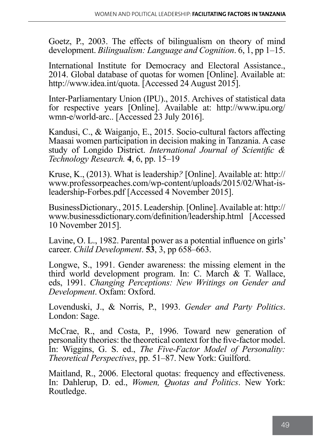Goetz, P., 2003. The effects of bilingualism on theory of mind development. *Bilingualism: Language and Cognition*. 6, 1, pp 1–15.

International Institute for Democracy and Electoral Assistance., 2014. Global database of quotas for women [Online]. Available at: http://www.idea.int/quota. [Accessed 24 August 2015].

Inter-Parliamentary Union (IPU)., 2015. Archives of statistical data for respective years [Online]. Available at: http://www.ipu.org/ wmn-e/world-arc.. [Accessed 23 July 2016].

Kandusi, C., & Waiganjo, E., 2015. Socio-cultural factors affecting Maasai women participation in decision making in Tanzania. A case study of Longido District. *International Journal of Scientific & Technology Research.* **4**, 6, pp. 15–19

Kruse, K., (2013). What is leadership*?* [Online]. Available at: http:// www.professorpeaches.com/wp-content/uploads/2015/02/What-isleadership-Forbes.pdf [Accessed 4 November 2015].

BusinessDictionary., 2015. Leadership*.* [Online]. Available at: http:// www.businessdictionary.com/definition/leadership.html [Accessed 10 November 2015].

Lavine, O. L., 1982. Parental power as a potential influence on girls' career. *Child Development*. **53**, 3, pp 658–663.

Longwe, S., 1991. Gender awareness: the missing element in the third world development program. In: C. March & T. Wallace, eds, 1991. *Changing Perceptions: New Writings on Gender and Development*. Oxfam: Oxford.

Lovenduski, J., & Norris, P., 1993. *Gender and Party Politics*. London: Sage.

McCrae, R., and Costa, P., 1996. Toward new generation of personality theories: the theoretical context for the five-factor model. In: Wiggins, G. S. ed., *The Five-Factor Model of Personality: Theoretical Perspectives*, pp. 51–87. New York: Guilford.

Maitland, R., 2006. Electoral quotas: frequency and effectiveness. In: Dahlerup, D. ed., *Women, Quotas and Politics*. New York: Routledge.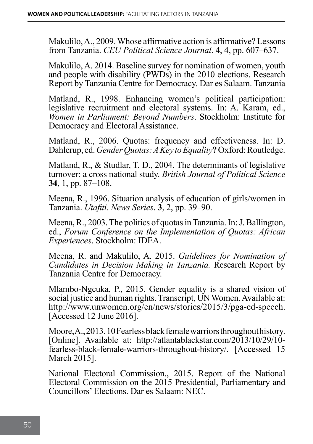Makulilo, A., 2009. Whose affirmative action is affirmative? Lessons from Tanzania. *CEU Political Science Journal*. **4**, 4, pp. 607–637.

Makulilo, A. 2014. Baseline survey for nomination of women, youth and people with disability (PWDs) in the 2010 elections. Research Report by Tanzania Centre for Democracy. Dar es Salaam. Tanzania

Matland, R., 1998. Enhancing women's political participation: legislative recruitment and electoral systems. In: A. Karam, ed., *Women in Parliament: Beyond Numbers*. Stockholm: Institute for Democracy and Electoral Assistance.

Matland, R., 2006. Quotas: frequency and effectiveness. In: D. Dahlerup, ed. *Gender Quotas: A Key to Equality***?** Oxford: Routledge.

Matland, R., & Studlar, T. D., 2004. The determinants of legislative turnover: a cross national study. *British Journal of Political Science* **34**, 1, pp. 87–108.

Meena, R., 1996. Situation analysis of education of girls/women in Tanzania. *Utafiti. News Series*. **3**, 2, pp. 39–90.

Meena, R., 2003. The politics of quotas in Tanzania. In: J. Ballington, ed., *Forum Conference on the Implementation of Quotas: African Experiences*. Stockholm: IDEA.

Meena, R. and Makulilo, A. 2015. *Guidelines for Nomination of Candidates in Decision Making in Tanzania.* Research Report by Tanzania Centre for Democracy.

Mlambo-Ngcuka, P., 2015. Gender equality is a shared vision of social justice and human rights. Transcript, UN Women. Available at: http://www.unwomen.org/en/news/stories/2015/3/pga-ed-speech. [Accessed 12 June 2016].

Moore, A., 2013. 10 Fearless black female warriors throughout history. [Online]. Available at: http://atlantablackstar.com/2013/10/29/10 fearless-black-female-warriors-throughout-history/. [Accessed 15 March 2015].

National Electoral Commission., 2015. Report of the National Electoral Commission on the 2015 Presidential, Parliamentary and Councillors' Elections. Dar es Salaam: NEC.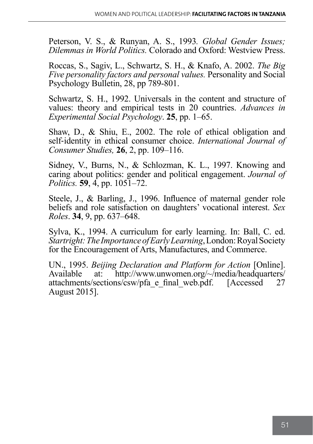Peterson, V. S., & Runyan, A. S., 1993*. Global Gender Issues; Dilemmas in World Politics.* Colorado and Oxford: Westview Press.

Roccas, S., Sagiv, L., Schwartz, S. H., & Knafo, A. 2002. *The Big Five personality factors and personal values.* Personality and Social Psychology Bulletin, 28, pp 789-801.

Schwartz, S. H., 1992. Universals in the content and structure of values: theory and empirical tests in 20 countries. *Advances in Experimental Social Psychology*. **25**, pp. 1–65.

Shaw, D., & Shiu, E., 2002. The role of ethical obligation and self‐identity in ethical consumer choice. *International Journal of Consumer Studies,* **26**, 2, pp. 109–116.

Sidney, V., Burns, N., & Schlozman, K. L., 1997. Knowing and caring about politics: gender and political engagement. *Journal of Politics.* **59**, 4, pp. 1051–72.

Steele, J., & Barling, J., 1996. Influence of maternal gender role beliefs and role satisfaction on daughters' vocational interest. *Sex Roles*. **34**, 9, pp. 637–648.

Sylva, K., 1994. A curriculum for early learning. In: Ball, C. ed. *Startright: The Importance of Early Learning*, London: Royal Society for the Encouragement of Arts, Manufactures, and Commerce.

UN., 1995. *Beijing Declaration and Platform for Action* [Online]. Available at: http://www.unwomen.org/~/media/headquarters/ attachments/sections/csw/pfa\_e\_final\_web.pdf. [Accessed 27 August 2015].